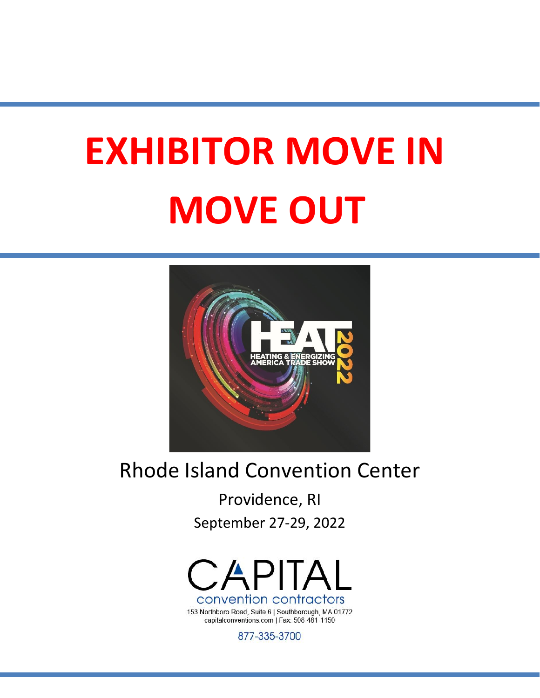# **EXHIBITOR MOVE IN MOVE OUT**



# Rhode Island Convention Center

Providence, RI September 27-29, 2022



153 Northboro Road, Suite 6 | Southborough, MA 01772 capitalconventions.com | Fax: 508-481-1150

877-335-3700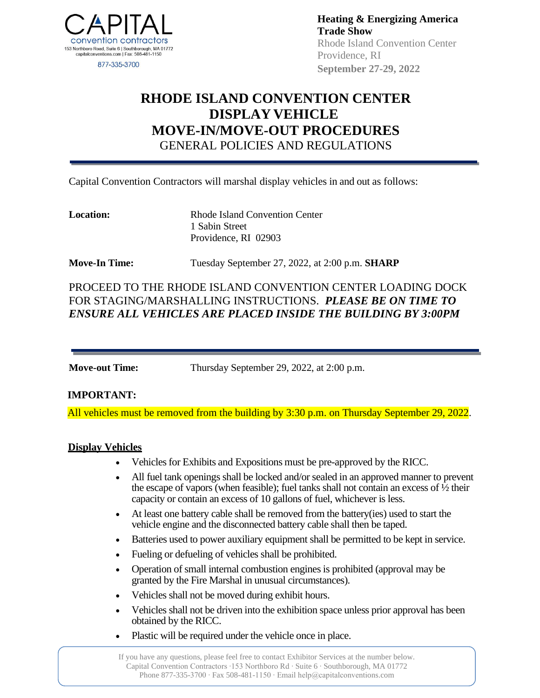

**Heating & Energizing America Trade Show** Rhode Island Convention Center Providence, RI **September 27-29, 2022**

## **RHODE ISLAND CONVENTION CENTER DISPLAY VEHICLE MOVE-IN/MOVE-OUT PROCEDURES** GENERAL POLICIES AND REGULATIONS

Capital Convention Contractors will marshal display vehicles in and out as follows:

**Location:** Rhode Island Convention Center 1 Sabin Street Providence, RI 02903

**Move-In Time:** Tuesday September 27, 2022, at 2:00 p.m. **SHARP**

PROCEED TO THE RHODE ISLAND CONVENTION CENTER LOADING DOCK FOR STAGING/MARSHALLING INSTRUCTIONS. *PLEASE BE ON TIME TO ENSURE ALL VEHICLES ARE PLACED INSIDE THE BUILDING BY 3:00PM*

**Move-out Time:** Thursday September 29, 2022, at 2:00 p.m.

#### **IMPORTANT:**

All vehicles must be removed from the building by 3:30 p.m. on Thursday September 29, 2022.

#### **Display Vehicles**

- Vehicles for Exhibits and Expositions must be pre-approved by the RICC.
- All fuel tank openings shall be locked and/or sealed in an approved manner to prevent the escape of vapors (when feasible); fuel tanks shall not contain an excess of  $\frac{1}{2}$  their capacity or contain an excess of 10 gallons of fuel, whichever is less.
- At least one battery cable shall be removed from the battery(ies) used to start the vehicle engine and the disconnected battery cable shall then be taped.
- Batteries used to power auxiliary equipment shall be permitted to be kept in service.
- Fueling or defueling of vehicles shall be prohibited.
- Operation of small internal combustion enginesis prohibited (approval may be granted by the Fire Marshal in unusual circumstances).
- Vehicles shall not be moved during exhibit hours.
- Vehicles shall not be driven into the exhibition space unless prior approval has been obtained by the RICC.
- Plastic will be required under the vehicle once in place.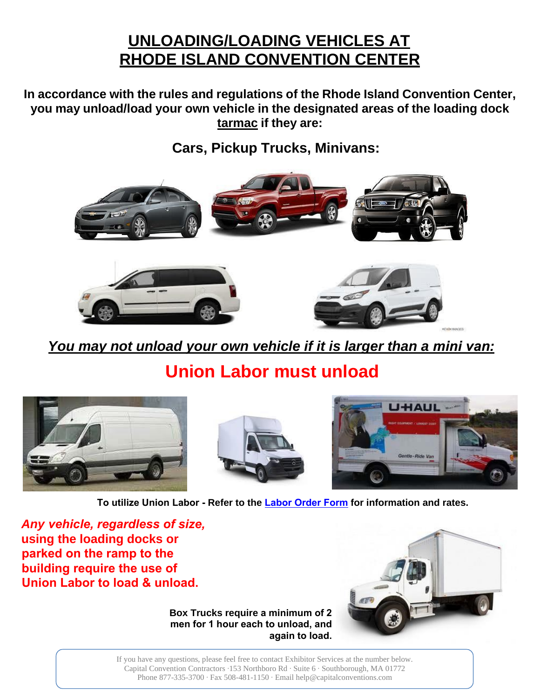# **UNLOADING/LOADING VEHICLES AT RHODE ISLAND CONVENTION CENTER**

**In accordance with the rules and regulations of the Rhode Island Convention Center, you may unload/load your own vehicle in the designated areas of the loading dock tarmac if they are:**

**Cars, Pickup Trucks, Minivans:**



You may not unload your own vehicle if it is larger than a mini van:

**Union Labor must unload**







**To utilize Union Labor - Refer to the Labor Order Form for information and rates.**

*Any vehicle, regardless of size,* **using the loading docks or parked on the ramp to the building require the use of Union Labor to load & unload.**

**Box Trucks require a minimum of 2 men for 1 hour each to unload, and again to load.**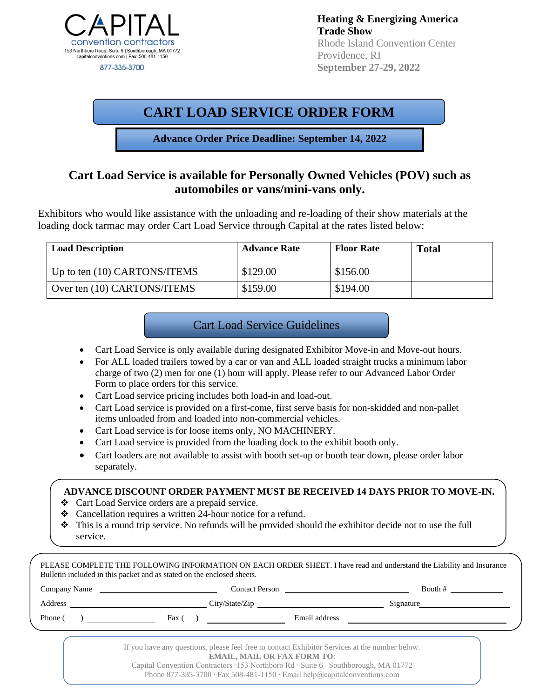

**Heating & Energizing America Trade Show** Rhode Island Convention Center Providence, RI  **September 27-29, 2022**

## **CART LOAD SERVICE ORDER FORM**

**Advance Order Price Deadline: September 14, 2022**

#### **Cart Load Service is available for Personally Owned Vehicles (POV) such as automobiles or vans/mini-vans only.**

Exhibitors who would like assistance with the unloading and re-loading of their show materials at the loading dock tarmac may order Cart Load Service through Capital at the rates listed below:

| <b>Load Description</b>      | <b>Advance Rate</b> | <b>Floor Rate</b> | <b>Total</b> |
|------------------------------|---------------------|-------------------|--------------|
| Up to ten (10) CARTONS/ITEMS | \$129.00            | \$156.00          |              |
| Over ten (10) CARTONS/ITEMS  | \$159.00            | \$194.00          |              |

#### Cart Load Service Guidelines

- Cart Load Service is only available during designated Exhibitor Move-in and Move-out hours.
- For ALL loaded trailers towed by a car or van and ALL loaded straight trucks a minimum labor charge of two (2) men for one (1) hour will apply. Please refer to our Advanced Labor Order Form to place orders for this service.
- Cart Load service pricing includes both load-in and load-out.
- Cart Load service is provided on a first-come, first serve basis for non-skidded and non-pallet items unloaded from and loaded into non-commercial vehicles.
- Cart Load service is for loose items only, NO MACHINERY.
- Cart Load service is provided from the loading dock to the exhibit booth only.
- Cart loaders are not available to assist with booth set-up or booth tear down, please order labor separately.

#### **ADVANCE DISCOUNT ORDER PAYMENT MUST BE RECEIVED 14 DAYS PRIOR TO MOVE-IN.**

- ❖ Cart Load Service orders are a prepaid service.
- ❖ Cancellation requires a written 24-hour notice for a refund.
- ❖ This is a round trip service. No refunds will be provided should the exhibitor decide not to use the full service.

|                                                                                                                                                                                                                                | Company Name |                | Booth #   |  |
|--------------------------------------------------------------------------------------------------------------------------------------------------------------------------------------------------------------------------------|--------------|----------------|-----------|--|
| Address and the contract of the contract of the contract of the contract of the contract of the contract of the contract of the contract of the contract of the contract of the contract of the contract of the contract of th |              | City/State/Zip | Signature |  |
| Phone (                                                                                                                                                                                                                        | Fax (        | Email address  |           |  |

Capital Convention Contractors ∙153 Northboro Rd ∙ Suite 6 ∙ Southborough, MA 01772 Phone 877-335-3700 ∙ Fax 508-481-1150 ∙ Email help@capitalconventions.com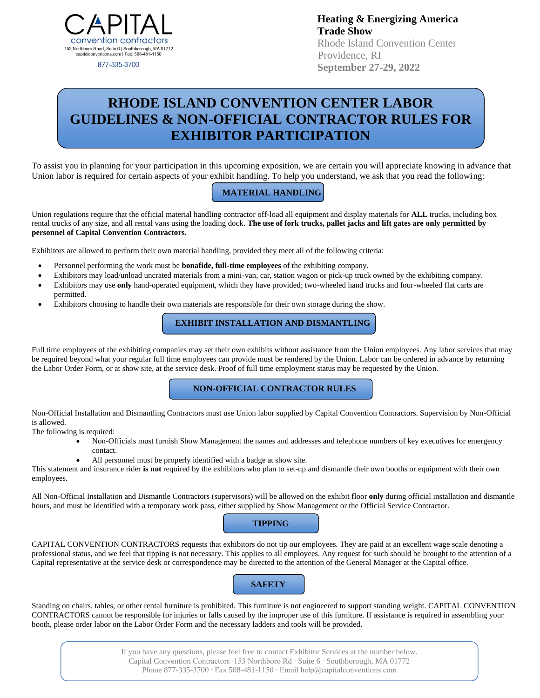

877-335-3700

**Heating & Energizing America Trade Show** Rhode Island Convention Center Providence, RI  **September 27-29, 2022**

# **RHODE ISLAND CONVENTION CENTER LABOR GUIDELINES & NON-OFFICIAL CONTRACTOR RULES FOR EXHIBITOR PARTICIPATION**

To assist you in planning for your participation in this upcoming exposition, we are certain you will appreciate knowing in advance that Union labor is required for certain aspects of your exhibit handling. To help you understand, we ask that you read the following:

#### **MATERIAL HANDLING**

Union regulations require that the official material handling contractor off-load all equipment and display materials for **ALL** trucks, including box rental trucks of any size, and all rental vans using the loading dock. **The use of fork trucks, pallet jacks and lift gates are only permitted by personnel of Capital Convention Contractors.**

Exhibitors are allowed to perform their own material handling, provided they meet all of the following criteria:

- Personnel performing the work must be **bonafide, full-time employees** of the exhibiting company.
- Exhibitors may load/unload uncrated materials from a mini-van, car, station wagon or pick-up truck owned by the exhibiting company.
- Exhibitors may use **only** hand-operated equipment, which they have provided; two-wheeled hand trucks and four-wheeled flat carts are permitted.
- Exhibitors choosing to handle their own materials are responsible for their own storage during the show.

#### **EXHIBIT INSTALLATION AND DISMANTLING**

Full time employees of the exhibiting companies may set their own exhibits without assistance from the Union employees. Any labor services that may be required beyond what your regular full time employees can provide must be rendered by the Union. Labor can be ordered in advance by returning the Labor Order Form, or at show site, at the service desk. Proof of full time employment status may be requested by the Union.

#### **NON-OFFICIAL CONTRACTOR RULES**

Non-Official Installation and Dismantling Contractors must use Union labor supplied by Capital Convention Contractors. Supervision by Non-Official is allowed.

The following is required:

- Non-Officials must furnish Show Management the names and addresses and telephone numbers of key executives for emergency contact.
- All personnel must be properly identified with a badge at show site.

This statement and insurance rider **is not** required by the exhibitors who plan to set-up and dismantle their own booths or equipment with their own employees.

All Non-Official Installation and Dismantle Contractors (supervisors) will be allowed on the exhibit floor **only** during official installation and dismantle hours, and must be identified with a temporary work pass, either supplied by Show Management or the Official Service Contractor.

#### **TIPPING**

CAPITAL CONVENTION CONTRACTORS requests that exhibitors do not tip our employees. They are paid at an excellent wage scale denoting a professional status, and we feel that tipping is not necessary. This applies to all employees. Any request for such should be brought to the attention of a Capital representative at the service desk or correspondence may be directed to the attention of the General Manager at the Capital office.

### **SAFETY**

Standing on chairs, tables, or other rental furniture is prohibited. This furniture is not engineered to support standing weight. CAPITAL CONVENTION CONTRACTORS cannot be responsible for injuries or falls caused by the improper use of this furniture. If assistance is required in assembling your booth, please order labor on the Labor Order Form and the necessary ladders and tools will be provided.